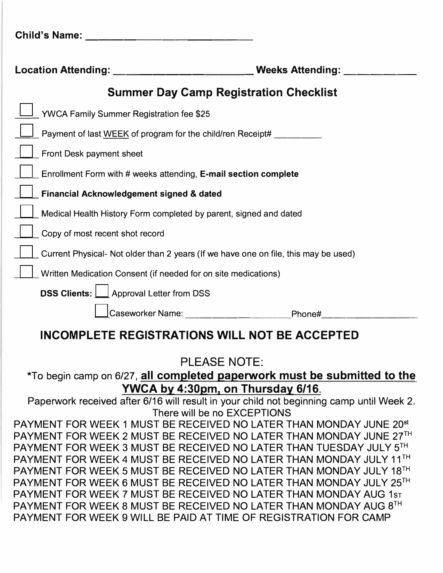| <b>Child's Name:</b> | <u> 1980 - Jan James Barnett, filozof eta provincia eta provincia eta provincia eta provincia eta provincia eta p</u> |        |
|----------------------|-----------------------------------------------------------------------------------------------------------------------|--------|
|                      |                                                                                                                       |        |
|                      | Location Attending: _______________________________Weeks Attending:                                                   |        |
|                      | <b>Summer Day Camp Registration Checklist</b>                                                                         |        |
|                      | <b>YWCA Family Summer Registration fee \$25</b>                                                                       |        |
|                      | Payment of last WEEK of program for the child/ren Receipt#                                                            |        |
|                      | Front Desk payment sheet                                                                                              |        |
|                      | Enrollment Form with # weeks attending, E-mail section complete                                                       |        |
|                      | Financial Acknowledgement signed & dated                                                                              |        |
|                      | Medical Health History Form completed by parent, signed and dated                                                     |        |
|                      | Copy of most recent shot record                                                                                       |        |
|                      | Current Physical- Not older than 2 years (If we have one on file, this may be used)                                   |        |
|                      | Written Medication Consent (if needed for on site medications)                                                        |        |
|                      | Approval Letter from DSS<br><b>DSS Clients:</b>                                                                       |        |
|                      | Caseworker Name: Caseworker Name:                                                                                     | Phone# |
|                      | <b>INCOMPLETE REGISTRATIONS WILL NOT BE ACCEPTED</b>                                                                  |        |
|                      | <b>PLEASE NOTE:</b>                                                                                                   |        |

## \*To begin camp on 6/27, **all completed paperwork must be submitted to the YWCA by 4:30pm, on Thursday 6/16.**

Paperwork received after 6/16 will result in your child not beginning camp until Week 2. There will be no EXCEPTIONS

PAYMENT FOR WEEK 1 MUST BE RECEIVED NO LATER THAN MONDAY JUNE 20<sup>st</sup> PAYMENT FOR WEEK 2 MUST BE RECEIVED NO LATER THAN MONDAY JUNE 27TH  $\mathsf{PAYMENT}$  FOR WEEK 3 MUST BE RECEIVED NO LATER THAN TUESDAY JULY  $5^{\mathsf{TH}}$ PAYMENT FOR WEEK 4 MUST BE RECEIVED NO LATER THAN MONDAY JULY 11TH PAYMENT FOR WEEK 5 MUST BE RECEIVED NO LATER THAN MONDAY JULY 18TH PAYMENT FOR WEEK 6 MUST BE RECEIVED NO LATER THAN MONDAY JULY 25TH PAYMENT FOR WEEK 7 MUST BE RECEIVED NO LATER THAN MONDAY AUG 1s<sup>r</sup> PAYMENT FOR WEEK 8 MUST BE RECEIVED NO LATER THAN MONDAY AUG  $8^{TH}$ PAYMENT FOR WEEK 9 WILL BE PAID AT TIME OF REGISTRATION FOR CAMP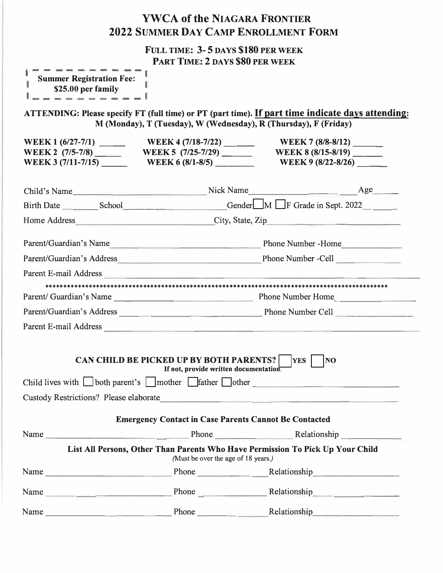## **YWCA of the NIAGARA FRONTIER 2022 SUMMER DAY CAMP ENROLLMENT FORM**

**FULL TIME: 3- 5 DAYS \$180 PER WEEK PART TIME: 2 DAYS \$80 PER WEEK** 

| <b>Summer Registration Fee:</b> |  |
|---------------------------------|--|
| \$25.00 per family              |  |
|                                 |  |

**ATTENDING: Please specify FT (full time) or PT (part time). If part time indicate days attending: M (Monday), T (Tuesday), W (Wednesday), R (Thursday), F (Friday)** 

| WEEK 1 $(6/27-7/1)$<br>WEEK 2 (7/5-7/8) ____ | WEEK 4 (7/18-7/22) _____<br>WEEK 3 (7/11-7/15) WEEK 6 (8/1-8/5)                                                       | WEEK 7 (8/8-8/12) ______<br>WEEK 8 (8/15-8/19) _____<br>WEEK 9 (8/22-8/26)                                                                                                                                                      |
|----------------------------------------------|-----------------------------------------------------------------------------------------------------------------------|---------------------------------------------------------------------------------------------------------------------------------------------------------------------------------------------------------------------------------|
|                                              |                                                                                                                       |                                                                                                                                                                                                                                 |
|                                              |                                                                                                                       |                                                                                                                                                                                                                                 |
|                                              |                                                                                                                       | Home Address City, State, Zip                                                                                                                                                                                                   |
|                                              |                                                                                                                       |                                                                                                                                                                                                                                 |
|                                              |                                                                                                                       |                                                                                                                                                                                                                                 |
|                                              |                                                                                                                       |                                                                                                                                                                                                                                 |
|                                              |                                                                                                                       |                                                                                                                                                                                                                                 |
|                                              |                                                                                                                       |                                                                                                                                                                                                                                 |
|                                              |                                                                                                                       |                                                                                                                                                                                                                                 |
|                                              |                                                                                                                       |                                                                                                                                                                                                                                 |
|                                              | <b>CAN CHILD BE PICKED UP BY BOTH PARENTS?</b>    YES    NO<br>If not, provide written documentation.                 | Child lives with $\Box$ both parent's $\Box$ mother $\Box$ father $\Box$ other $\Box$                                                                                                                                           |
|                                              |                                                                                                                       |                                                                                                                                                                                                                                 |
|                                              | <b>Emergency Contact in Case Parents Cannot Be Contacted</b>                                                          |                                                                                                                                                                                                                                 |
|                                              |                                                                                                                       | Name Relationship Relationship                                                                                                                                                                                                  |
|                                              | List All Persons, Other Than Parents Who Have Permission To Pick Up Your Child<br>(Must be over the age of 18 years.) |                                                                                                                                                                                                                                 |
| Name                                         | Phone _________                                                                                                       | Relationship                                                                                                                                                                                                                    |
| Name                                         | Phone                                                                                                                 | Relationship                                                                                                                                                                                                                    |
|                                              | Phone                                                                                                                 | Relationship<br>expansion of the set of the set of the set of the set of the set of the set of the set of the set of the set of the set of the set of the set of the set of the set of the set of the set of the set of the set |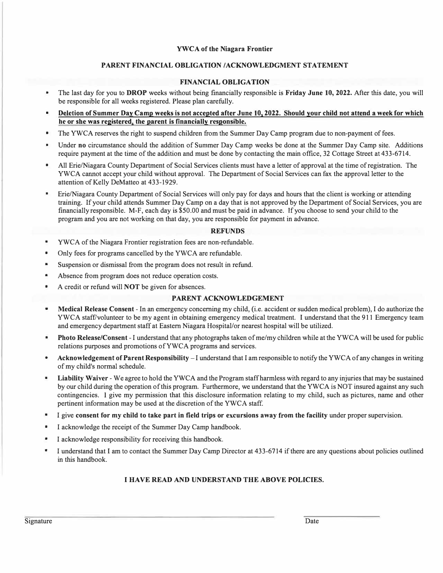#### **YWCA of the Niagara Frontier**

#### **PARENT FINANCIAL OBLIGATION /ACKNOWLEDGMENT STATEMENT**

#### **FINANCIAL OBLIGATION**

- The last day for you to **DROP** weeks without being financially responsible is **Friday June IO, 2022.** After this date, you will be responsible for all weeks registered. Please plan carefully.
- **• Deletion of Summer Dav Camp weeks is not accepted after June 10, 2022. Should your child not attend a week for whkh he or she was registered, the parent is financially responsible.**
- The YWCA reserves the right to suspend children from the Summer Day Camp program due to non-payment of fees.
- Under **no** circumstance should the addition of Summer Day Camp weeks be done at the Summer Day Camp site. Additions require payment at the time of the addition and must be done by contacting the main office, 32 Cottage Street at 433-6714.
- All Erie/Niagara County Department of Social Services clients must have a letter of approval at the time of registration. The YWCA cannot accept your child without approval. The Department of Social Services can fax the approval letter to the attention of Kelly DeMatteo at 433-1929.
- Erie/Niagara County Department of Social Services will only pay for days and hours that the client is working or attending training. If your child attends Summer Day Camp on a day that is not approved by the Department of Social Services, you are financially responsible. M-F, each day is \$50.00 and must be paid in advance. If you choose to send your child to the program and you are not working on that day, you are responsible for payment in advance.

#### **REFUNDS**

- YWCA of the Niagara Frontier registration fees are non-refundable.
- Only fees for programs cancelled by the YWCA are refundable.
- **Suspension or dismissal from the program does not result in refund.**
- Absence from program does not reduce operation costs.
- A credit or refund will **NOT** be given for absences.

#### **PARENT ACKNOWLEDGEMENT**

- **• Medical Release Consent -** In an emergency concerning my child, (i.e. accident or sudden medical problem), I do authorize the YWCA staff/volunteer to be my agent in obtaining emergency medical treatment. I understand that the 911 Emergency team and emergency department staff at Eastern Niagara Hospital/or nearest hospital will be utilized.
- **• Photo Release/Consent -** I understand that any photographs taken of me/my children while at the YWCA will be used for public relations purposes and promotions of YWCA programs and services.
- **• Acknowledgement of Parent Responsibility -** I understand that I am responsible to notify the YWCA of any changes in writing of my child's normal schedule.
- **• Liability Waiver -** We agree to hold the YWCA and the Program staff harmless with regard to any injuries that may be sustained by our child during the operation of this program. Furthermore, we understand that the YWCA is NOT insured against any such contingencies. I give my permission that this disclosure information relating to my child, such as pictures, name and other pertinent information may be used at the discretion of the YWCA staff.
- I give **consent for my child to take part in field trips or excursions away from the facility** under proper supervision.
- I acknowledge the receipt of the Summer Day Camp handbook.
- I acknowledge responsibility for receiving this handbook.
- I understand that I am to contact the Summer Day Camp Director at 433-6714 if there are any questions about policies outlined in this handbook.

#### **I HA VE READ AND UNDERSTAND THE ABOVE POLICIES.**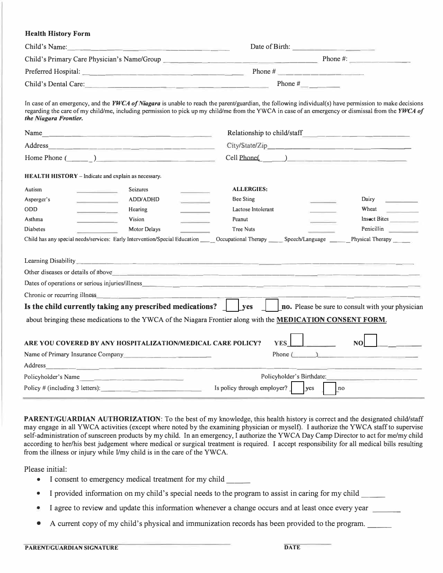#### **Health History Form**

| Child's Name:                                                                                                                                                                                                                                                                                                                                | <u> 1989 - An Aontaithe Aonaichte ann an Cairlige ann an t-Aonaichte ann an t-Aonaichte ann an t-Aonaichte ann an</u>                                                                                                                |                             | Date of Birth:                                                                                                                                                                                                                      |                           |
|----------------------------------------------------------------------------------------------------------------------------------------------------------------------------------------------------------------------------------------------------------------------------------------------------------------------------------------------|--------------------------------------------------------------------------------------------------------------------------------------------------------------------------------------------------------------------------------------|-----------------------------|-------------------------------------------------------------------------------------------------------------------------------------------------------------------------------------------------------------------------------------|---------------------------|
|                                                                                                                                                                                                                                                                                                                                              |                                                                                                                                                                                                                                      |                             |                                                                                                                                                                                                                                     |                           |
|                                                                                                                                                                                                                                                                                                                                              |                                                                                                                                                                                                                                      |                             |                                                                                                                                                                                                                                     |                           |
| Child's Dental Care: Phone $\#$ Phone $\#$                                                                                                                                                                                                                                                                                                   |                                                                                                                                                                                                                                      |                             |                                                                                                                                                                                                                                     |                           |
| In case of an emergency, and the <b>IWCA of Niagara</b> is unable to reach the parent/guardian, the following individual(s) have permission to make decisions<br>regarding the care of my child/me, including permission to pick up my child/me from the YWCA in case of an emergency or dismissal from the YWCA of<br>the Niagara Frontier. |                                                                                                                                                                                                                                      |                             |                                                                                                                                                                                                                                     |                           |
| Name                                                                                                                                                                                                                                                                                                                                         |                                                                                                                                                                                                                                      |                             |                                                                                                                                                                                                                                     |                           |
| Address                                                                                                                                                                                                                                                                                                                                      | <u>in a series and the series of the series of the series of the series of the series of the series of the series of the series of the series of the series of the series of the series of the series of the series of the serie</u> |                             |                                                                                                                                                                                                                                     |                           |
| Home Phone $($ $)$                                                                                                                                                                                                                                                                                                                           |                                                                                                                                                                                                                                      |                             |                                                                                                                                                                                                                                     |                           |
| <b>HEALTH HISTORY</b> – Indicate and explain as necessary.                                                                                                                                                                                                                                                                                   |                                                                                                                                                                                                                                      |                             |                                                                                                                                                                                                                                     |                           |
| Autism<br><b>Contract Contract Contract Contract</b>                                                                                                                                                                                                                                                                                         | <b>Seizures</b>                                                                                                                                                                                                                      | <b>ALLERGIES:</b>           |                                                                                                                                                                                                                                     |                           |
| Asperger's<br>بالمستنبط                                                                                                                                                                                                                                                                                                                      | ADD/ADHD<br>and the state of                                                                                                                                                                                                         | <b>Bee Sting</b>            | Dairy                                                                                                                                                                                                                               | <b>Service Controller</b> |
| ODD<br>and the control of the control of                                                                                                                                                                                                                                                                                                     | Hearing<br>and the company                                                                                                                                                                                                           | Lactose Intolerant          | Wheat<br><b>Contract Contract</b>                                                                                                                                                                                                   |                           |
| Asthma<br><b>Contract Contract Contract</b>                                                                                                                                                                                                                                                                                                  | Vision                                                                                                                                                                                                                               | Peanut                      |                                                                                                                                                                                                                                     | Insect Bites              |
| <b>Diabetes</b>                                                                                                                                                                                                                                                                                                                              | Motor Delays                                                                                                                                                                                                                         | <b>Tree Nuts</b>            |                                                                                                                                                                                                                                     | Penicillin                |
| Child has any special needs/services: Early Intervention/Special Education _____ Occupational Therapy ____ Speech/Language _____                                                                                                                                                                                                             |                                                                                                                                                                                                                                      |                             |                                                                                                                                                                                                                                     | Physical Therapy          |
|                                                                                                                                                                                                                                                                                                                                              |                                                                                                                                                                                                                                      |                             |                                                                                                                                                                                                                                     |                           |
| Other diseases or details of above <u>contained a series of the series of the series of the series of the series of the series of the series of the series of the series of the series of the series of the series of the series</u>                                                                                                         |                                                                                                                                                                                                                                      |                             |                                                                                                                                                                                                                                     |                           |
| Dates of operations or serious injuries/illness                                                                                                                                                                                                                                                                                              |                                                                                                                                                                                                                                      |                             |                                                                                                                                                                                                                                     |                           |
| Chronic or recurring illness entertainment of the contract of the contract of the contract of the contract of the contract of the contract of the contract of the contract of the contract of the contract of the contract of                                                                                                                |                                                                                                                                                                                                                                      |                             | <u> 1980 - Jan James Alemany, martin politik a</u>                                                                                                                                                                                  |                           |
| Is the child currently taking any prescribed medications? $\ \cdot\ $ yes $\ \cdot\ $ no. Please be sure to consult with your physician                                                                                                                                                                                                      |                                                                                                                                                                                                                                      |                             |                                                                                                                                                                                                                                     |                           |
| about bringing these medications to the YWCA of the Niagara Frontier along with the MEDICATION CONSENT FORM.                                                                                                                                                                                                                                 |                                                                                                                                                                                                                                      |                             |                                                                                                                                                                                                                                     |                           |
|                                                                                                                                                                                                                                                                                                                                              |                                                                                                                                                                                                                                      |                             |                                                                                                                                                                                                                                     |                           |
| ARE YOU COVERED BY ANY HOSPITALIZATION/MEDICAL CARE POLICY?                                                                                                                                                                                                                                                                                  |                                                                                                                                                                                                                                      | <b>YES</b>                  | <b>NO</b>                                                                                                                                                                                                                           |                           |
| Name of Primary Insurance Company<br><u>Name of Primary Insurance Company</u>                                                                                                                                                                                                                                                                |                                                                                                                                                                                                                                      | Phone $\ell$                | $\qquad \qquad$ ) and the set of the set of the set of the set of the set of the set of the set of the set of the set of the set of the set of the set of the set of the set of the set of the set of the set of the set of the set |                           |
| Address<br>the control of the control of the control of the control of the control of the control of                                                                                                                                                                                                                                         |                                                                                                                                                                                                                                      |                             |                                                                                                                                                                                                                                     |                           |
| Policyholder's Name                                                                                                                                                                                                                                                                                                                          |                                                                                                                                                                                                                                      |                             | Policyholder's Birthdate:                                                                                                                                                                                                           |                           |
| Policy # (including 3 letters): $\frac{1}{2}$                                                                                                                                                                                                                                                                                                |                                                                                                                                                                                                                                      | Is policy through employer? | $\vee$ ves<br>no                                                                                                                                                                                                                    |                           |

**PARENT/GUARDIAN AUTHORIZATION:** To the best of my knowledge, this health history is correct and the designated child/staff may engage in all YWCA activities (except where noted by the examining physician or myself). I authorize the YWCA staff to supervise self-administration of sunscreen products by my child. In an emergency, I authorize the YWCA Day Camp Director to act for me/my child according to her/his best judgement where medical or surgical treatment is required. I accept responsibility for all medical bills resulting from the illness or injury while I/my child is in the care of the YWCA.

Please initial:

- I consent to emergency medical treatment for my child
- I provided information on my child's special needs to the program to assist in caring for my child
- I agree to review and update this information whenever a change occurs and at least once every year
- A current copy of my child's physical and immunization records has been provided to the program.